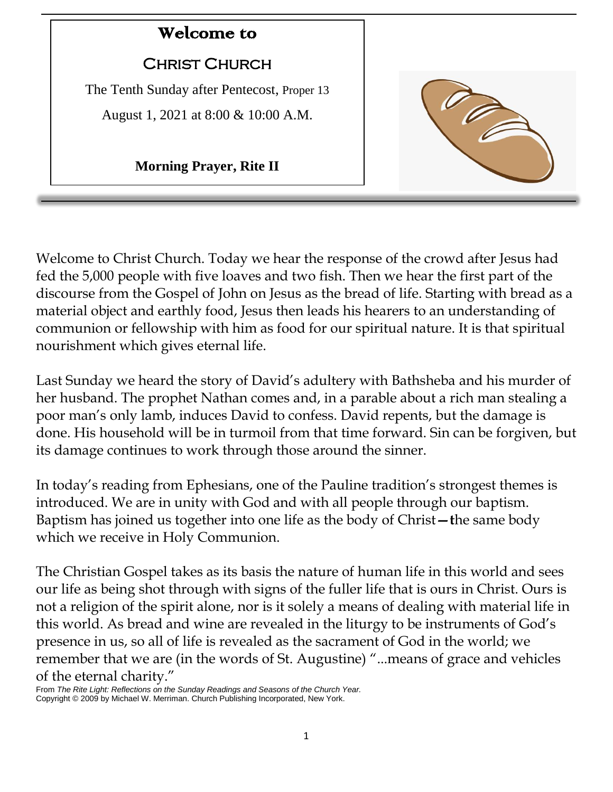## Welcome to

## Christ Church

The Tenth Sunday after Pentecost, Proper 13

August 1, 2021 at 8:00 & 10:00 A.M.

**Morning Prayer, Rite II**



Welcome to Christ Church. Today we hear the response of the crowd after Jesus had fed the 5,000 people with five loaves and two fish. Then we hear the first part of the discourse from the Gospel of John on Jesus as the bread of life. Starting with bread as a material object and earthly food, Jesus then leads his hearers to an understanding of communion or fellowship with him as food for our spiritual nature. It is that spiritual nourishment which gives eternal life.

Last Sunday we heard the story of David's adultery with Bathsheba and his murder of her husband. The prophet Nathan comes and, in a parable about a rich man stealing a poor man's only lamb, induces David to confess. David repents, but the damage is done. His household will be in turmoil from that time forward. Sin can be forgiven, but its damage continues to work through those around the sinner.

In today's reading from Ephesians, one of the Pauline tradition's strongest themes is introduced. We are in unity with God and with all people through our baptism. Baptism has joined us together into one life as the body of Christ**—t**he same body which we receive in Holy Communion.

The Christian Gospel takes as its basis the nature of human life in this world and sees our life as being shot through with signs of the fuller life that is ours in Christ. Ours is not a religion of the spirit alone, nor is it solely a means of dealing with material life in this world. As bread and wine are revealed in the liturgy to be instruments of God's presence in us, so all of life is revealed as the sacrament of God in the world; we remember that we are (in the words of St. Augustine) "...means of grace and vehicles of the eternal charity."

From *The Rite Light: Reflections on the Sunday Readings and Seasons of the Church Year.* Copyright © 2009 by Michael W. Merriman. Church Publishing Incorporated, New York.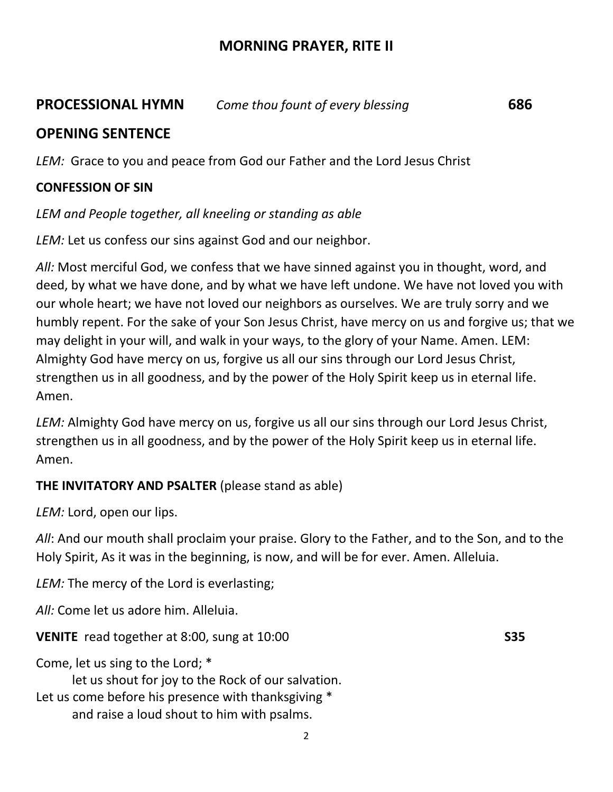## **MORNING PRAYER, RITE II**

## **PROCESSIONAL HYMN** *Come thou fount of every blessing* **686**

## **OPENING SENTENCE**

*LEM:* Grace to you and peace from God our Father and the Lord Jesus Christ

## **CONFESSION OF SIN**

*LEM and People together, all kneeling or standing as able*

*LEM:* Let us confess our sins against God and our neighbor.

*All:* Most merciful God, we confess that we have sinned against you in thought, word, and deed, by what we have done, and by what we have left undone. We have not loved you with our whole heart; we have not loved our neighbors as ourselves. We are truly sorry and we humbly repent. For the sake of your Son Jesus Christ, have mercy on us and forgive us; that we may delight in your will, and walk in your ways, to the glory of your Name. Amen. LEM: Almighty God have mercy on us, forgive us all our sins through our Lord Jesus Christ, strengthen us in all goodness, and by the power of the Holy Spirit keep us in eternal life. Amen.

*LEM:* Almighty God have mercy on us, forgive us all our sins through our Lord Jesus Christ, strengthen us in all goodness, and by the power of the Holy Spirit keep us in eternal life. Amen.

## **THE INVITATORY AND PSALTER** (please stand as able)

*LEM:* Lord, open our lips.

*All*: And our mouth shall proclaim your praise. Glory to the Father, and to the Son, and to the Holy Spirit, As it was in the beginning, is now, and will be for ever. Amen. Alleluia.

*LEM:* The mercy of the Lord is everlasting;

*All:* Come let us adore him. Alleluia.

**VENITE** read together at 8:00, sung at 10:00 **S35** S35

Come, let us sing to the Lord; \*

let us shout for joy to the Rock of our salvation. Let us come before his presence with thanksgiving \* and raise a loud shout to him with psalms.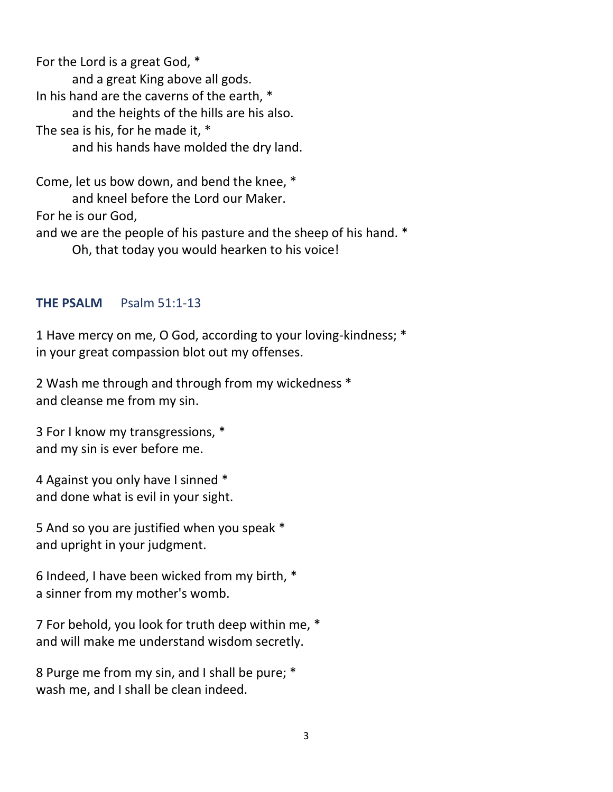For the Lord is a great God, \* and a great King above all gods. In his hand are the caverns of the earth, \* and the heights of the hills are his also. The sea is his, for he made it, \* and his hands have molded the dry land.

Come, let us bow down, and bend the knee, \* and kneel before the Lord our Maker. For he is our God, and we are the people of his pasture and the sheep of his hand. \* Oh, that today you would hearken to his voice!

#### **THE PSALM** Psalm 51:1-13

1 Have mercy on me, O God, according to your loving-kindness; \* in your great compassion blot out my offenses.

2 Wash me through and through from my wickedness \* and cleanse me from my sin.

3 For I know my transgressions, \* and my sin is ever before me.

4 Against you only have I sinned \* and done what is evil in your sight.

5 And so you are justified when you speak \* and upright in your judgment.

6 Indeed, I have been wicked from my birth, \* a sinner from my mother's womb.

7 For behold, you look for truth deep within me, \* and will make me understand wisdom secretly.

8 Purge me from my sin, and I shall be pure; \* wash me, and I shall be clean indeed.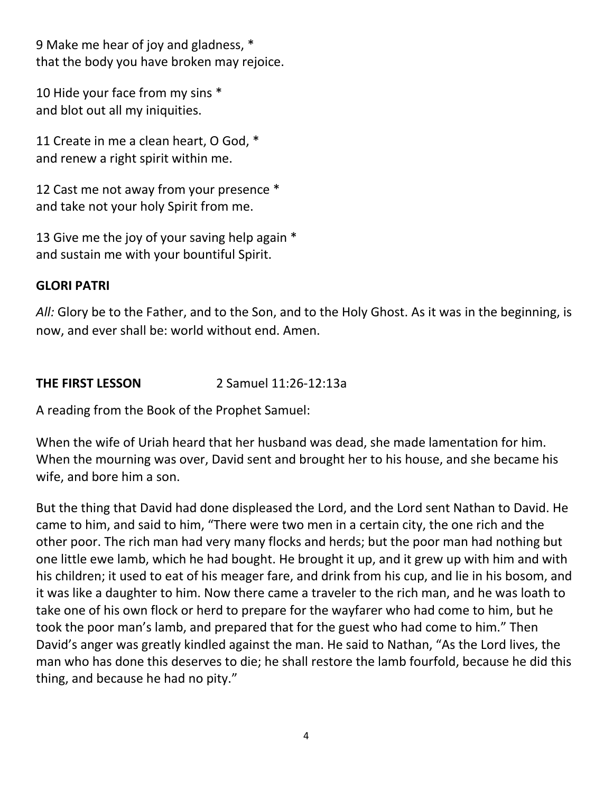9 Make me hear of joy and gladness, \* that the body you have broken may rejoice.

10 Hide your face from my sins \* and blot out all my iniquities.

11 Create in me a clean heart, O God, \* and renew a right spirit within me.

12 Cast me not away from your presence \* and take not your holy Spirit from me.

13 Give me the joy of your saving help again \* and sustain me with your bountiful Spirit.

#### **GLORI PATRI**

*All:* Glory be to the Father, and to the Son, and to the Holy Ghost. As it was in the beginning, is now, and ever shall be: world without end. Amen.

#### **THE FIRST LESSON** 2 Samuel 11:26-12:13a

A reading from the Book of the Prophet Samuel:

When the wife of Uriah heard that her husband was dead, she made lamentation for him. When the mourning was over, David sent and brought her to his house, and she became his wife, and bore him a son.

But the thing that David had done displeased the Lord, and the Lord sent Nathan to David. He came to him, and said to him, "There were two men in a certain city, the one rich and the other poor. The rich man had very many flocks and herds; but the poor man had nothing but one little ewe lamb, which he had bought. He brought it up, and it grew up with him and with his children; it used to eat of his meager fare, and drink from his cup, and lie in his bosom, and it was like a daughter to him. Now there came a traveler to the rich man, and he was loath to take one of his own flock or herd to prepare for the wayfarer who had come to him, but he took the poor man's lamb, and prepared that for the guest who had come to him." Then David's anger was greatly kindled against the man. He said to Nathan, "As the Lord lives, the man who has done this deserves to die; he shall restore the lamb fourfold, because he did this thing, and because he had no pity."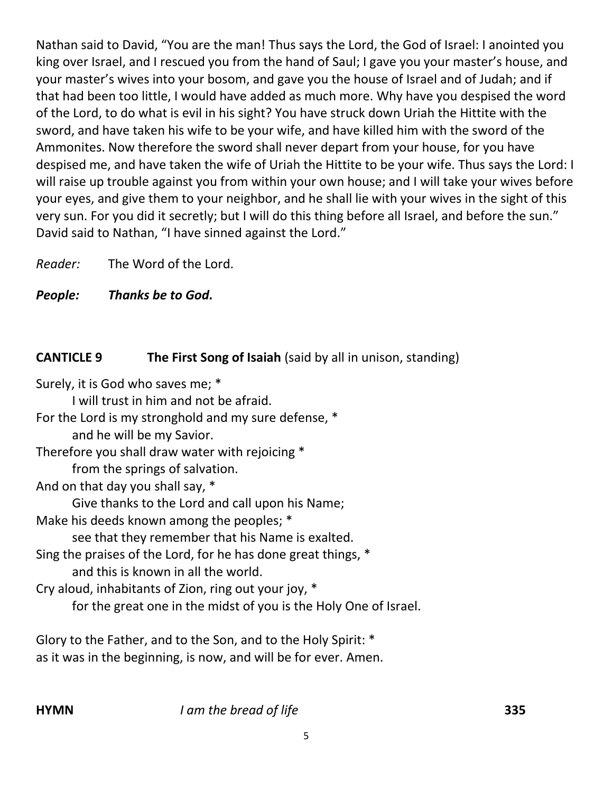Nathan said to David, "You are the man! Thus says the Lord, the God of Israel: I anointed you king over Israel, and I rescued you from the hand of Saul; I gave you your master's house, and your master's wives into your bosom, and gave you the house of Israel and of Judah; and if that had been too little, I would have added as much more. Why have you despised the word of the Lord, to do what is evil in his sight? You have struck down Uriah the Hittite with the sword, and have taken his wife to be your wife, and have killed him with the sword of the Ammonites. Now therefore the sword shall never depart from your house, for you have despised me, and have taken the wife of Uriah the Hittite to be your wife. Thus says the Lord: I will raise up trouble against you from within your own house; and I will take your wives before your eyes, and give them to your neighbor, and he shall lie with your wives in the sight of this very sun. For you did it secretly; but I will do this thing before all Israel, and before the sun." David said to Nathan, "I have sinned against the Lord."

*Reader:* The Word of the Lord.

*People: Thanks be to God.*

## **CANTICLE 9 The First Song of Isaiah** (said by all in unison, standing)

Surely, it is God who saves me; \* I will trust in him and not be afraid. For the Lord is my stronghold and my sure defense, \* and he will be my Savior. Therefore you shall draw water with rejoicing \* from the springs of salvation. And on that day you shall say, \* Give thanks to the Lord and call upon his Name; Make his deeds known among the peoples; \* see that they remember that his Name is exalted. Sing the praises of the Lord, for he has done great things, \* and this is known in all the world.

Cry aloud, inhabitants of Zion, ring out your joy, \*

for the great one in the midst of you is the Holy One of Israel.

Glory to the Father, and to the Son, and to the Holy Spirit: \* as it was in the beginning, is now, and will be for ever. Amen.

**HYMN** *I am the bread of life* **335**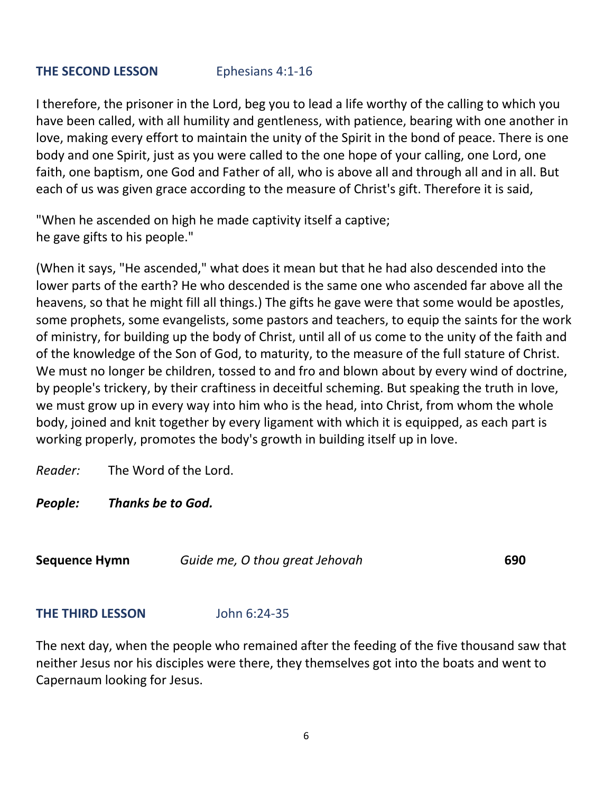#### **THE SECOND LESSON** Ephesians 4:1-16

I therefore, the prisoner in the Lord, beg you to lead a life worthy of the calling to which you have been called, with all humility and gentleness, with patience, bearing with one another in love, making every effort to maintain the unity of the Spirit in the bond of peace. There is one body and one Spirit, just as you were called to the one hope of your calling, one Lord, one faith, one baptism, one God and Father of all, who is above all and through all and in all. But each of us was given grace according to the measure of Christ's gift. Therefore it is said,

"When he ascended on high he made captivity itself a captive; he gave gifts to his people."

(When it says, "He ascended," what does it mean but that he had also descended into the lower parts of the earth? He who descended is the same one who ascended far above all the heavens, so that he might fill all things.) The gifts he gave were that some would be apostles, some prophets, some evangelists, some pastors and teachers, to equip the saints for the work of ministry, for building up the body of Christ, until all of us come to the unity of the faith and of the knowledge of the Son of God, to maturity, to the measure of the full stature of Christ. We must no longer be children, tossed to and fro and blown about by every wind of doctrine, by people's trickery, by their craftiness in deceitful scheming. But speaking the truth in love, we must grow up in every way into him who is the head, into Christ, from whom the whole body, joined and knit together by every ligament with which it is equipped, as each part is working properly, promotes the body's growth in building itself up in love.

*Reader:* The Word of the Lord.

*People: Thanks be to God.*

**Sequence Hymn** *Guide me, O thou great Jehovah* **690**

#### **THE THIRD LESSON** John 6:24-35

The next day, when the people who remained after the feeding of the five thousand saw that neither Jesus nor his disciples were there, they themselves got into the boats and went to Capernaum looking for Jesus.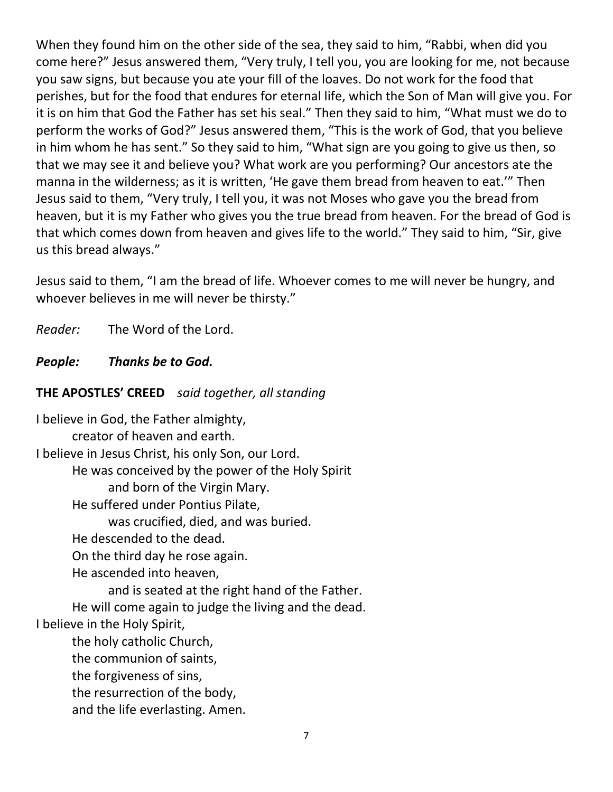When they found him on the other side of the sea, they said to him, "Rabbi, when did you come here?" Jesus answered them, "Very truly, I tell you, you are looking for me, not because you saw signs, but because you ate your fill of the loaves. Do not work for the food that perishes, but for the food that endures for eternal life, which the Son of Man will give you. For it is on him that God the Father has set his seal." Then they said to him, "What must we do to perform the works of God?" Jesus answered them, "This is the work of God, that you believe in him whom he has sent." So they said to him, "What sign are you going to give us then, so that we may see it and believe you? What work are you performing? Our ancestors ate the manna in the wilderness; as it is written, 'He gave them bread from heaven to eat.'" Then Jesus said to them, "Very truly, I tell you, it was not Moses who gave you the bread from heaven, but it is my Father who gives you the true bread from heaven. For the bread of God is that which comes down from heaven and gives life to the world." They said to him, "Sir, give us this bread always."

Jesus said to them, "I am the bread of life. Whoever comes to me will never be hungry, and whoever believes in me will never be thirsty."

*Reader:* The Word of the Lord.

*People: Thanks be to God.*

## **THE APOSTLES' CREED** *said together, all standing*

I believe in God, the Father almighty, creator of heaven and earth. I believe in Jesus Christ, his only Son, our Lord. He was conceived by the power of the Holy Spirit and born of the Virgin Mary. He suffered under Pontius Pilate, was crucified, died, and was buried. He descended to the dead. On the third day he rose again. He ascended into heaven, and is seated at the right hand of the Father. He will come again to judge the living and the dead. I believe in the Holy Spirit, the holy catholic Church, the communion of saints, the forgiveness of sins, the resurrection of the body, and the life everlasting. Amen.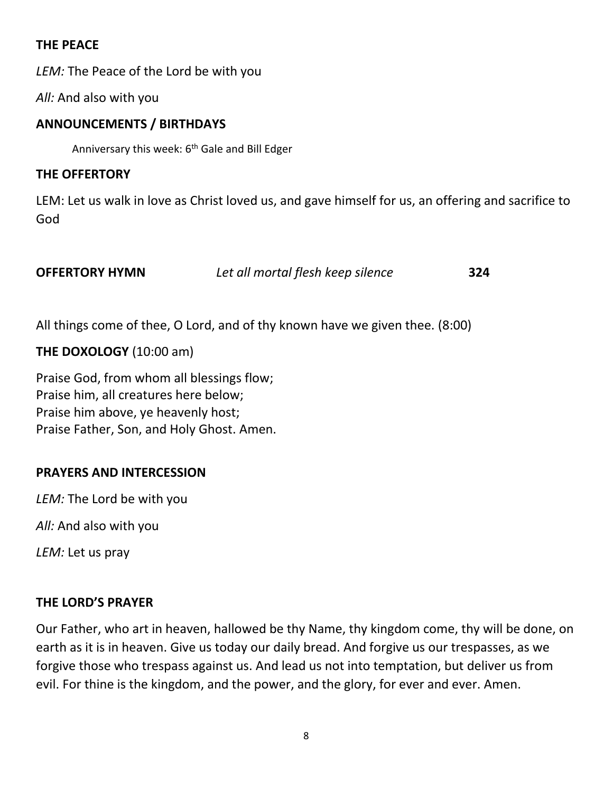### **THE PEACE**

*LEM:* The Peace of the Lord be with you

*All:* And also with you

#### **ANNOUNCEMENTS / BIRTHDAYS**

Anniversary this week: 6<sup>th</sup> Gale and Bill Edger

#### **THE OFFERTORY**

LEM: Let us walk in love as Christ loved us, and gave himself for us, an offering and sacrifice to God

| <b>OFFERTORY HYMN</b><br>Let all mortal flesh keep silence | 324 |
|------------------------------------------------------------|-----|
|------------------------------------------------------------|-----|

All things come of thee, O Lord, and of thy known have we given thee. (8:00)

**THE DOXOLOGY** (10:00 am)

Praise God, from whom all blessings flow; Praise him, all creatures here below; Praise him above, ye heavenly host; Praise Father, Son, and Holy Ghost. Amen.

## **PRAYERS AND INTERCESSION**

*LEM:* The Lord be with you

*All:* And also with you

*LEM:* Let us pray

#### **THE LORD'S PRAYER**

Our Father, who art in heaven, hallowed be thy Name, thy kingdom come, thy will be done, on earth as it is in heaven. Give us today our daily bread. And forgive us our trespasses, as we forgive those who trespass against us. And lead us not into temptation, but deliver us from evil. For thine is the kingdom, and the power, and the glory, for ever and ever. Amen.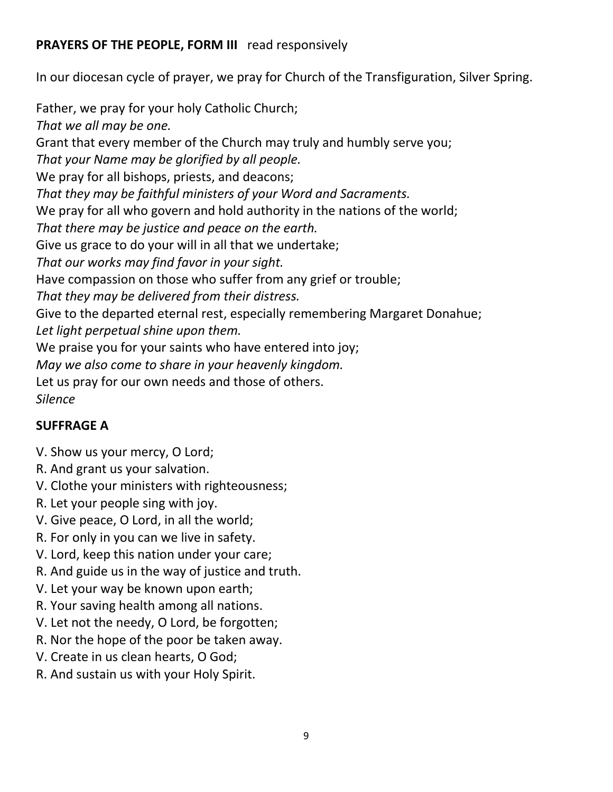## PRAYERS OF THE PEOPLE, FORM III read responsively

In our diocesan cycle of prayer, we pray for Church of the Transfiguration, Silver Spring.

Father, we pray for your holy Catholic Church; *That we all may be one.* Grant that every member of the Church may truly and humbly serve you; *That your Name may be glorified by all people.* We pray for all bishops, priests, and deacons; *That they may be faithful ministers of your Word and Sacraments.* We pray for all who govern and hold authority in the nations of the world; *That there may be justice and peace on the earth.* Give us grace to do your will in all that we undertake; *That our works may find favor in your sight.* Have compassion on those who suffer from any grief or trouble; *That they may be delivered from their distress.* Give to the departed eternal rest, especially remembering Margaret Donahue; *Let light perpetual shine upon them.* We praise you for your saints who have entered into joy; *May we also come to share in your heavenly kingdom.* Let us pray for our own needs and those of others. *Silence*

## **SUFFRAGE A**

- V. Show us your mercy, O Lord;
- R. And grant us your salvation.
- V. Clothe your ministers with righteousness;
- R. Let your people sing with joy.
- V. Give peace, O Lord, in all the world;
- R. For only in you can we live in safety.
- V. Lord, keep this nation under your care;
- R. And guide us in the way of justice and truth.
- V. Let your way be known upon earth;
- R. Your saving health among all nations.
- V. Let not the needy, O Lord, be forgotten;
- R. Nor the hope of the poor be taken away.
- V. Create in us clean hearts, O God;
- R. And sustain us with your Holy Spirit.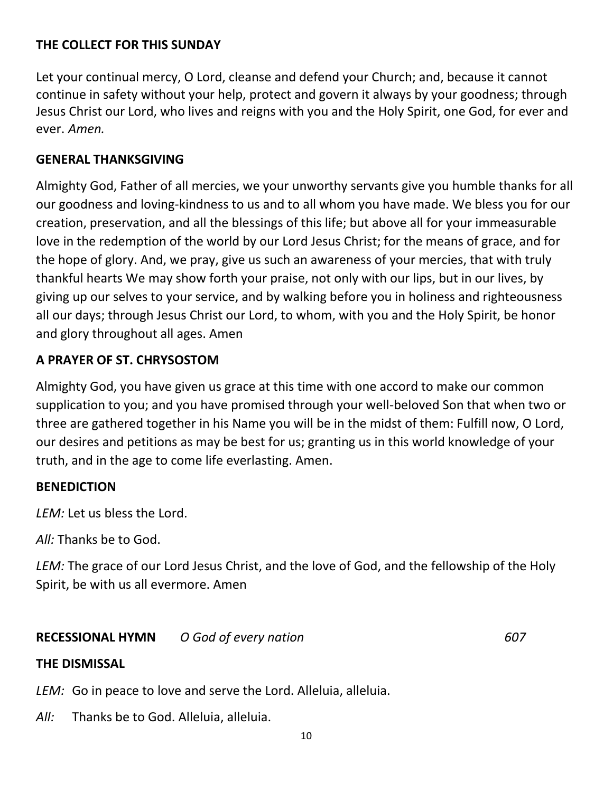### **THE COLLECT FOR THIS SUNDAY**

Let your continual mercy, O Lord, cleanse and defend your Church; and, because it cannot continue in safety without your help, protect and govern it always by your goodness; through Jesus Christ our Lord, who lives and reigns with you and the Holy Spirit, one God, for ever and ever. *Amen.*

### **GENERAL THANKSGIVING**

Almighty God, Father of all mercies, we your unworthy servants give you humble thanks for all our goodness and loving-kindness to us and to all whom you have made. We bless you for our creation, preservation, and all the blessings of this life; but above all for your immeasurable love in the redemption of the world by our Lord Jesus Christ; for the means of grace, and for the hope of glory. And, we pray, give us such an awareness of your mercies, that with truly thankful hearts We may show forth your praise, not only with our lips, but in our lives, by giving up our selves to your service, and by walking before you in holiness and righteousness all our days; through Jesus Christ our Lord, to whom, with you and the Holy Spirit, be honor and glory throughout all ages. Amen

### **A PRAYER OF ST. CHRYSOSTOM**

Almighty God, you have given us grace at this time with one accord to make our common supplication to you; and you have promised through your well-beloved Son that when two or three are gathered together in his Name you will be in the midst of them: Fulfill now, O Lord, our desires and petitions as may be best for us; granting us in this world knowledge of your truth, and in the age to come life everlasting. Amen.

#### **BENEDICTION**

*LEM:* Let us bless the Lord.

*All:* Thanks be to God.

*LEM:* The grace of our Lord Jesus Christ, and the love of God, and the fellowship of the Holy Spirit, be with us all evermore. Amen

#### **RECESSIONAL HYMN** *O God of every nation 607*

#### **THE DISMISSAL**

*LEM:* Go in peace to love and serve the Lord. Alleluia, alleluia.

*All:* Thanks be to God. Alleluia, alleluia.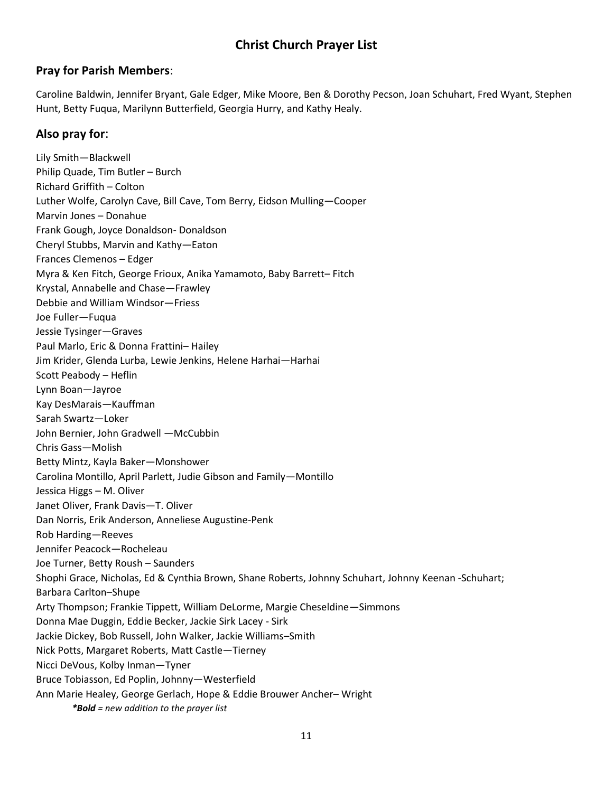#### **Christ Church Prayer List**

#### **Pray for Parish Members**:

Caroline Baldwin, Jennifer Bryant, Gale Edger, Mike Moore, Ben & Dorothy Pecson, Joan Schuhart, Fred Wyant, Stephen Hunt, Betty Fuqua, Marilynn Butterfield, Georgia Hurry, and Kathy Healy.

#### **Also pray for**:

Lily Smith—Blackwell Philip Quade, Tim Butler – Burch Richard Griffith – Colton Luther Wolfe, Carolyn Cave, Bill Cave, Tom Berry, Eidson Mulling—Cooper Marvin Jones – Donahue Frank Gough, Joyce Donaldson- Donaldson Cheryl Stubbs, Marvin and Kathy—Eaton Frances Clemenos – Edger Myra & Ken Fitch, George Frioux, Anika Yamamoto, Baby Barrett– Fitch Krystal, Annabelle and Chase—Frawley Debbie and William Windsor—Friess Joe Fuller—Fuqua Jessie Tysinger—Graves Paul Marlo, Eric & Donna Frattini– Hailey Jim Krider, Glenda Lurba, Lewie Jenkins, Helene Harhai—Harhai Scott Peabody – Heflin Lynn Boan—Jayroe Kay DesMarais—Kauffman Sarah Swartz—Loker John Bernier, John Gradwell —McCubbin Chris Gass—Molish Betty Mintz, Kayla Baker—Monshower Carolina Montillo, April Parlett, Judie Gibson and Family—Montillo Jessica Higgs – M. Oliver Janet Oliver, Frank Davis—T. Oliver Dan Norris, Erik Anderson, Anneliese Augustine-Penk Rob Harding—Reeves Jennifer Peacock—Rocheleau Joe Turner, Betty Roush – Saunders Shophi Grace, Nicholas, Ed & Cynthia Brown, Shane Roberts, Johnny Schuhart, Johnny Keenan -Schuhart; Barbara Carlton–Shupe Arty Thompson; Frankie Tippett, William DeLorme, Margie Cheseldine—Simmons Donna Mae Duggin, Eddie Becker, Jackie Sirk Lacey - Sirk Jackie Dickey, Bob Russell, John Walker, Jackie Williams–Smith Nick Potts, Margaret Roberts, Matt Castle—Tierney Nicci DeVous, Kolby Inman—Tyner Bruce Tobiasson, Ed Poplin, Johnny—Westerfield Ann Marie Healey, George Gerlach, Hope & Eddie Brouwer Ancher– Wright *\*Bold = new addition to the prayer list*